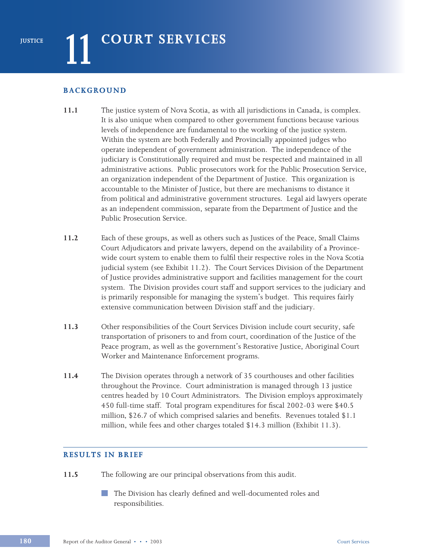# **BACKGROUND**

- **11.1** The justice system of Nova Scotia, as with all jurisdictions in Canada, is complex. It is also unique when compared to other government functions because various levels of independence are fundamental to the working of the justice system. Within the system are both Federally and Provincially appointed judges who operate independent of government administration. The independence of the judiciary is Constitutionally required and must be respected and maintained in all administrative actions. Public prosecutors work for the Public Prosecution Service, an organization independent of the Department of Justice. This organization is accountable to the Minister of Justice, but there are mechanisms to distance it from political and administrative government structures. Legal aid lawyers operate as an independent commission, separate from the Department of Justice and the Public Prosecution Service.
- **11.2** Each of these groups, as well as others such as Justices of the Peace, Small Claims Court Adjudicators and private lawyers, depend on the availability of a Provincewide court system to enable them to fulfil their respective roles in the Nova Scotia judicial system (see Exhibit 11.2). The Court Services Division of the Department of Justice provides administrative support and facilities management for the court system. The Division provides court staff and support services to the judiciary and is primarily responsible for managing the system's budget. This requires fairly extensive communication between Division staff and the judiciary.
- **11.3** Other responsibilities of the Court Services Division include court security, safe transportation of prisoners to and from court, coordination of the Justice of the Peace program, as well as the government's Restorative Justice, Aboriginal Court Worker and Maintenance Enforcement programs.
- **11.4** The Division operates through a network of 35 courthouses and other facilities throughout the Province. Court administration is managed through 13 justice centres headed by 10 Court Administrators. The Division employs approximately 450 full-time staff. Total program expenditures for fiscal 2002-03 were \$40.5 million*,* \$26.7 of which comprised salaries and benefits. Revenues totaled \$1.1 million, while fees and other charges totaled \$14.3 million (Exhibit 11.3).

# **RESULTS IN BRIEF**

**11.5** The following are our principal observations from this audit.

The Division has clearly defined and well-documented roles and responsibilities.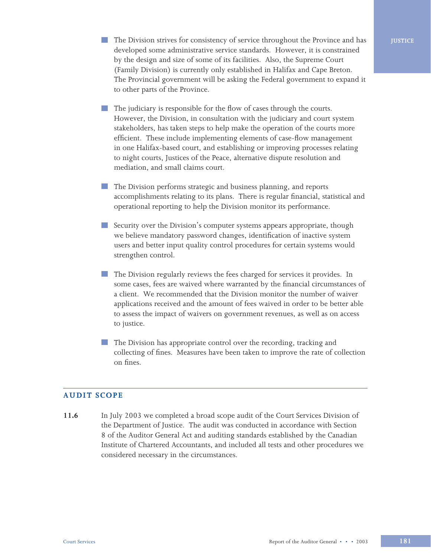- The Division strives for consistency of service throughout the Province and has developed some administrative service standards. However, it is constrained by the design and size of some of its facilities. Also, the Supreme Court (Family Division) is currently only established in Halifax and Cape Breton. The Provincial government will be asking the Federal government to expand it to other parts of the Province.
- The judiciary is responsible for the flow of cases through the courts. However, the Division, in consultation with the judiciary and court system stakeholders, has taken steps to help make the operation of the courts more efficient. These include implementing elements of case-flow management in one Halifax-based court, and establishing or improving processes relating to night courts, Justices of the Peace, alternative dispute resolution and mediation, and small claims court.
- **The Division performs strategic and business planning, and reports** accomplishments relating to its plans. There is regular financial, statistical and operational reporting to help the Division monitor its performance.
- Security over the Division's computer systems appears appropriate, though we believe mandatory password changes, identification of inactive system users and better input quality control procedures for certain systems would strengthen control.
- The Division regularly reviews the fees charged for services it provides. In some cases, fees are waived where warranted by the financial circumstances of a client. We recommended that the Division monitor the number of waiver applications received and the amount of fees waived in order to be better able to assess the impact of waivers on government revenues, as well as on access to justice.
- The Division has appropriate control over the recording, tracking and collecting of fines. Measures have been taken to improve the rate of collection on fines.

#### **AUDIT SCOPE**

**11.6** In July 2003 we completed a broad scope audit of the Court Services Division of the Department of Justice. The audit was conducted in accordance with Section 8 of the Auditor General Act and auditing standards established by the Canadian Institute of Chartered Accountants, and included all tests and other procedures we considered necessary in the circumstances.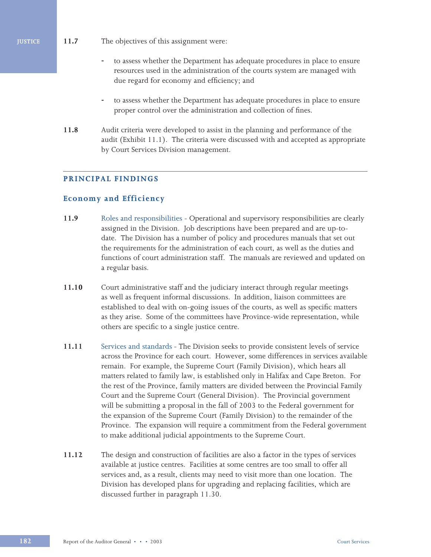- **JUSTICE 11.7** The objectives of this assignment were:
	- to assess whether the Department has adequate procedures in place to ensure resources used in the administration of the courts system are managed with due regard for economy and efficiency; and
	- to assess whether the Department has adequate procedures in place to ensure proper control over the administration and collection of fines.
	- **11.8** Audit criteria were developed to assist in the planning and performance of the audit (Exhibit 11.1). The criteria were discussed with and accepted as appropriate by Court Services Division management.

# **PRINCIPAL FINDINGS**

### **Economy and Efficiency**

- **11.9** Roles and responsibilities Operational and supervisory responsibilities are clearly assigned in the Division. Job descriptions have been prepared and are up-todate. The Division has a number of policy and procedures manuals that set out the requirements for the administration of each court, as well as the duties and functions of court administration staff. The manuals are reviewed and updated on a regular basis.
- **11.10** Court administrative staff and the judiciary interact through regular meetings as well as frequent informal discussions. In addition, liaison committees are established to deal with on-going issues of the courts, as well as specific matters as they arise. Some of the committees have Province-wide representation, while others are specific to a single justice centre.
- **11.11** Services and standardsThe Division seeks to provide consistent levels of service across the Province for each court. However, some differences in services available remain. For example, the Supreme Court (Family Division), which hears all matters related to family law, is established only in Halifax and Cape Breton. For the rest of the Province, family matters are divided between the Provincial Family Court and the Supreme Court (General Division). The Provincial government will be submitting a proposal in the fall of 2003 to the Federal government for the expansion of the Supreme Court (Family Division) to the remainder of the Province. The expansion will require a commitment from the Federal government to make additional judicial appointments to the Supreme Court.
- **11.12** The design and construction of facilities are also a factor in the types of services available at justice centres. Facilities at some centres are too small to offer all services and, as a result, clients may need to visit more than one location. The Division has developed plans for upgrading and replacing facilities, which are discussed further in paragraph 11.30.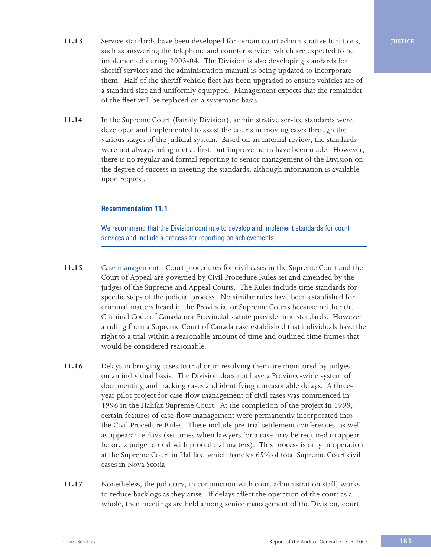- **11.13** Service standards have been developed for certain court administrative functions, such as answering the telephone and counter service, which are expected to be implemented during 2003-04. The Division is also developing standards for sheriff services and the administration manual is being updated to incorporate them. Half of the sheriff vehicle fleet has been upgraded to ensure vehicles are of a standard size and uniformly equipped. Management expects that the remainder of the fleet will be replaced on a systematic basis.
- 11.14 In the Supreme Court (Family Division), administrative service standards were developed and implemented to assist the courts in moving cases through the various stages of the judicial system. Based on an internal review, the standards were not always being met at first, but improvements have been made. However, there is no regular and formal reporting to senior management of the Division on the degree of success in meeting the standards, although information is available upon request.

### **Recommendation 11.1**

We recommend that the Division continue to develop and implement standards for court services and include a process for reporting on achievements.

- **11.15** Case management Court procedures for civil cases in the Supreme Court and the Court of Appeal are governed by Civil Procedure Rules set and amended by the judges of the Supreme and Appeal Courts. The Rules include time standards for specific steps of the judicial process. No similar rules have been established for criminal matters heard in the Provincial or Supreme Courts because neither the Criminal Code of Canada nor Provincial statute provide time standards. However, a ruling from a Supreme Court of Canada case established that individuals have the right to a trial within a reasonable amount of time and outlined time frames that would be considered reasonable.
- **11.16** Delays in bringing cases to trial or in resolving them are monitored by judges on an individual basis. The Division does not have a Province-wide system of documenting and tracking cases and identifying unreasonable delays. A threeyear pilot project for case-flow management of civil cases was commenced in 1996 in the Halifax Supreme Court. At the completion of the project in 1999, certain features of case-flow management were permanently incorporated into the Civil Procedure Rules. These include pre-trial settlement conferences, as well as appearance days (set times when lawyers for a case may be required to appear before a judge to deal with procedural matters). This process is only in operation at the Supreme Court in Halifax, which handles 65% of total Supreme Court civil cases in Nova Scotia.
- **11.17** Nonetheless, the judiciary, in conjunction with court administration staff, works to reduce backlogs as they arise. If delays affect the operation of the court as a whole, then meetings are held among senior management of the Division, court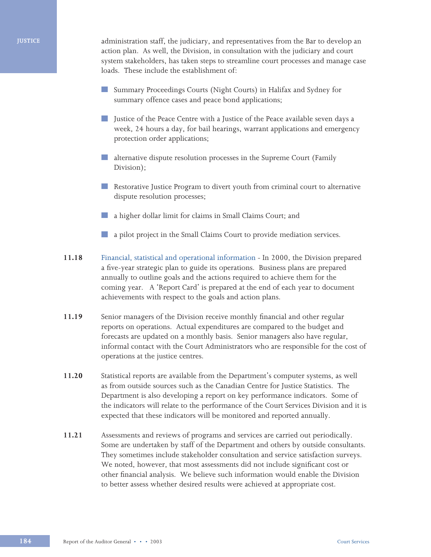#### **JUSTICE**

administration staff, the judiciary, and representatives from the Bar to develop an action plan. As well, the Division, in consultation with the judiciary and court system stakeholders, has taken steps to streamline court processes and manage case loads. These include the establishment of:

- Summary Proceedings Courts (Night Courts) in Halifax and Sydney for summary offence cases and peace bond applications;
- **Delay 1** Justice of the Peace Centre with a Justice of the Peace available seven days a week, 24 hours a day, for bail hearings, warrant applications and emergency protection order applications;
- **alternative dispute resolution processes in the Supreme Court (Family** Division);
- Restorative Justice Program to divert youth from criminal court to alternative dispute resolution processes;
- a higher dollar limit for claims in Small Claims Court; and
- a pilot project in the Small Claims Court to provide mediation services.
- **11.18** Financial, statistical and operational informationIn 2000, the Division prepared a five-year strategic plan to guide its operations. Business plans are prepared annually to outline goals and the actions required to achieve them for the coming year. A 'Report Card' is prepared at the end of each year to document achievements with respect to the goals and action plans.
- **11.19** Senior managers of the Division receive monthly financial and other regular reports on operations. Actual expenditures are compared to the budget and forecasts are updated on a monthly basis. Senior managers also have regular, informal contact with the Court Administrators who are responsible for the cost of operations at the justice centres.
- **11.20** Statistical reports are available from the Department's computer systems, as well as from outside sources such as the Canadian Centre for Justice Statistics. The Department is also developing a report on key performance indicators. Some of the indicators will relate to the performance of the Court Services Division and it is expected that these indicators will be monitored and reported annually.
- **11.21** Assessments and reviews of programs and services are carried out periodically. Some are undertaken by staff of the Department and others by outside consultants. They sometimes include stakeholder consultation and service satisfaction surveys. We noted, however, that most assessments did not include significant cost or other financial analysis. We believe such information would enable the Division to better assess whether desired results were achieved at appropriate cost.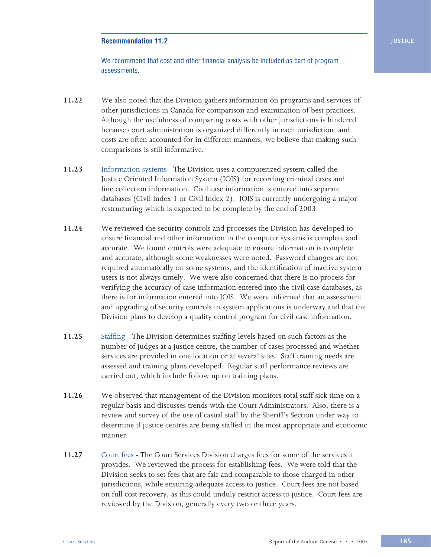# **Recommendation 11.2**

We recommend that cost and other financial analysis be included as part of program assessments.

- **11.22** We also noted that the Division gathers information on programs and services of other jurisdictions in Canada for comparison and examination of best practices. Although the usefulness of comparing costs with other jurisdictions is hindered because court administration is organized differently in each jurisdiction, and costs are often accounted for in different manners, we believe that making such comparisons is still informative.
- **11.23** Information systemsThe Division uses a computerized system called the Justice Oriented Information System (JOIS) for recording criminal cases and fine collection information. Civil case information is entered into separate databases (Civil Index 1 or Civil Index 2). JOIS is currently undergoing a major restructuring which is expected to be complete by the end of 2003.
- **11.24** We reviewed the security controls and processes the Division has developed to ensure financial and other information in the computer systems is complete and accurate. We found controls were adequate to ensure information is complete and accurate, although some weaknesses were noted. Password changes are not required automatically on some systems, and the identification of inactive system users is not always timely. We were also concerned that there is no process for verifying the accuracy of case information entered into the civil case databases, as there is for information entered into JOIS. We were informed that an assessment and upgrading of security controls in system applications is underway and that the Division plans to develop a quality control program for civil case information.
- **11.25** Staffing The Division determines staffing levels based on such factors as the number of judges at a justice centre, the number of cases processed and whether services are provided in one location or at several sites. Staff training needs are assessed and training plans developed. Regular staff performance reviews are carried out, which include follow up on training plans.
- **11.26** We observed that management of the Division monitors total staff sick time on a regular basis and discusses trends with the Court Administrators. Also, there is a review and survey of the use of casual staff by the Sheriff's Section under way to determine if justice centres are being staffed in the most appropriate and economic manner.
- **11.27** Court feesThe Court Services Division charges fees for some of the services it provides. We reviewed the process for establishing fees. We were told that the Division seeks to set fees that are fair and comparable to those charged in other jurisdictions, while ensuring adequate access to justice. Court fees are not based on full cost recovery, as this could unduly restrict access to justice. Court fees are reviewed by the Division, generally every two or three years.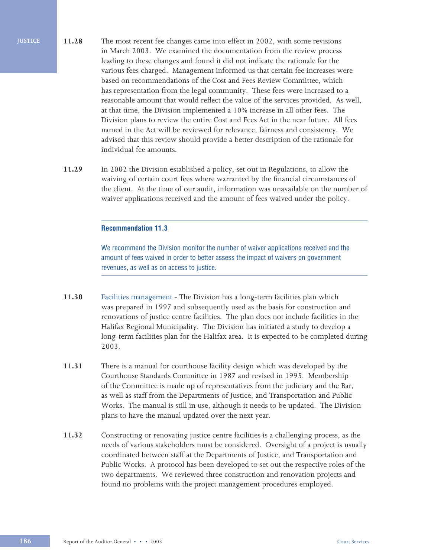- **11.28** The most recent fee changes came into effect in 2002, with some revisions in March 2003. We examined the documentation from the review process leading to these changes and found it did not indicate the rationale for the various fees charged. Management informed us that certain fee increases were based on recommendations of the Cost and Fees Review Committee, which has representation from the legal community. These fees were increased to a reasonable amount that would reflect the value of the services provided. As well, at that time, the Division implemented a 10% increase in all other fees. The Division plans to review the entire Cost and Fees Act in the near future. All fees named in the Act will be reviewed for relevance, fairness and consistency. We advised that this review should provide a better description of the rationale for individual fee amounts.
	- **11.29** In 2002 the Division established a policy, set out in Regulations, to allow the waiving of certain court fees where warranted by the financial circumstances of the client. At the time of our audit, information was unavailable on the number of waiver applications received and the amount of fees waived under the policy.

#### **Recommendation 11.3**

We recommend the Division monitor the number of waiver applications received and the amount of fees waived in order to better assess the impact of waivers on government revenues, as well as on access to justice.

- **11.30** Facilities management The Division has a long-term facilities plan which was prepared in 1997 and subsequently used as the basis for construction and renovations of justice centre facilities. The plan does not include facilities in the Halifax Regional Municipality. The Division has initiated a study to develop a long-term facilities plan for the Halifax area. It is expected to be completed during 2003.
- **11.31** There is a manual for courthouse facility design which was developed by the Courthouse Standards Committee in 1987 and revised in 1995. Membership of the Committee is made up of representatives from the judiciary and the Bar, as well as staff from the Departments of Justice, and Transportation and Public Works. The manual is still in use, although it needs to be updated. The Division plans to have the manual updated over the next year.
- **11.32** Constructing or renovating justice centre facilities is a challenging process, as the needs of various stakeholders must be considered. Oversight of a project is usually coordinated between staff at the Departments of Justice, and Transportation and Public Works. A protocol has been developed to set out the respective roles of the two departments. We reviewed three construction and renovation projects and found no problems with the project management procedures employed.

**JUSTICE**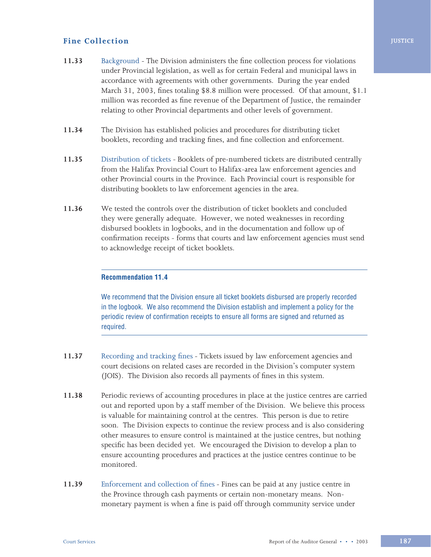# **Fine Collection**

- **11.33** Background The Division administers the fine collection process for violations under Provincial legislation, as well as for certain Federal and municipal laws in accordance with agreements with other governments. During the year ended March 31, 2003, fines totaling \$8.8 million were processed. Of that amount, \$1.1 million was recorded as fine revenue of the Department of Justice, the remainder relating to other Provincial departments and other levels of government.
- **11.34** The Division has established policies and procedures for distributing ticket booklets, recording and tracking fines, and fine collection and enforcement.
- **11.35** Distribution of ticketsBooklets of pre-numbered tickets are distributed centrally from the Halifax Provincial Court to Halifax-area law enforcement agencies and other Provincial courts in the Province. Each Provincial court is responsible for distributing booklets to law enforcement agencies in the area.
- **11.36** We tested the controls over the distribution of ticket booklets and concluded they were generally adequate. However, we noted weaknesses in recording disbursed booklets in logbooks, and in the documentation and follow up of confirmation receipts - forms that courts and law enforcement agencies must send to acknowledge receipt of ticket booklets.

# **Recommendation 11.4**

We recommend that the Division ensure all ticket booklets disbursed are properly recorded in the logbook. We also recommend the Division establish and implement a policy for the periodic review of confirmation receipts to ensure all forms are signed and returned as required.

- **11.37** Recording and tracking finesTickets issued by law enforcement agencies and court decisions on related cases are recorded in the Division's computer system (JOIS). The Division also records all payments of fines in this system.
- **11.38** Periodic reviews of accounting procedures in place at the justice centres are carried out and reported upon by a staff member of the Division. We believe this process is valuable for maintaining control at the centres. This person is due to retire soon. The Division expects to continue the review process and is also considering other measures to ensure control is maintained at the justice centres, but nothing specific has been decided yet. We encouraged the Division to develop a plan to ensure accounting procedures and practices at the justice centres continue to be monitored.
- **11.39** Enforcement and collection of finesFines can be paid at any justice centre in the Province through cash payments or certain non-monetary means. Nonmonetary payment is when a fine is paid off through community service under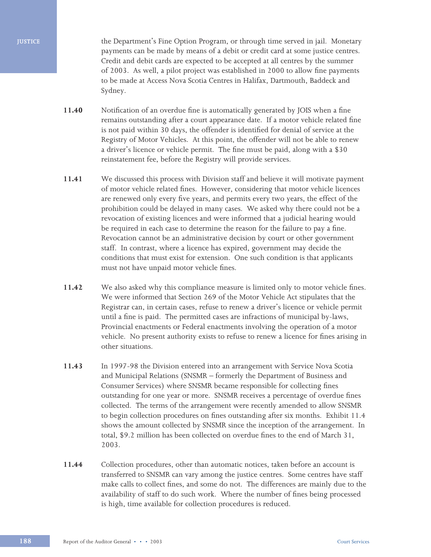**JUSTICE**

the Department's Fine Option Program, or through time served in jail. Monetary payments can be made by means of a debit or credit card at some justice centres. Credit and debit cards are expected to be accepted at all centres by the summer of 2003. As well, a pilot project was established in 2000 to allow fine payments to be made at Access Nova Scotia Centres in Halifax, Dartmouth, Baddeck and Sydney.

- **11.40** Notification of an overdue fine is automatically generated by JOIS when a fine remains outstanding after a court appearance date. If a motor vehicle related fine is not paid within 30 days, the offender is identified for denial of service at the Registry of Motor Vehicles. At this point, the offender will not be able to renew a driver's licence or vehicle permit. The fine must be paid, along with a \$30 reinstatement fee, before the Registry will provide services.
- **11.41** We discussed this process with Division staff and believe it will motivate payment of motor vehicle related fines. However, considering that motor vehicle licences are renewed only every five years, and permits every two years, the effect of the prohibition could be delayed in many cases. We asked why there could not be a revocation of existing licences and were informed that a judicial hearing would be required in each case to determine the reason for the failure to pay a fine. Revocation cannot be an administrative decision by court or other government staff. In contrast, where a licence has expired, government may decide the conditions that must exist for extension. One such condition is that applicants must not have unpaid motor vehicle fines.
- **11.42** We also asked why this compliance measure is limited only to motor vehicle fines. We were informed that Section 269 of the Motor Vehicle Act stipulates that the Registrar can, in certain cases, refuse to renew a driver's licence or vehicle permit until a fine is paid. The permitted cases are infractions of municipal by-laws, Provincial enactments or Federal enactments involving the operation of a motor vehicle. No present authority exists to refuse to renew a licence for fines arising in other situations.
- **11.43** In 1997-98 the Division entered into an arrangement with Service Nova Scotia and Municipal Relations (SNSMR – formerly the Department of Business and Consumer Services) where SNSMR became responsible for collecting fines outstanding for one year or more. SNSMR receives a percentage of overdue fines collected. The terms of the arrangement were recently amended to allow SNSMR to begin collection procedures on fines outstanding after six months. Exhibit 11.4 shows the amount collected by SNSMR since the inception of the arrangement. In total, \$9.2 million has been collected on overdue fines to the end of March 31, 2003.
- **11.44** Collection procedures, other than automatic notices, taken before an account is transferred to SNSMR can vary among the justice centres. Some centres have staff make calls to collect fines, and some do not. The differences are mainly due to the availability of staff to do such work. Where the number of fines being processed is high, time available for collection procedures is reduced.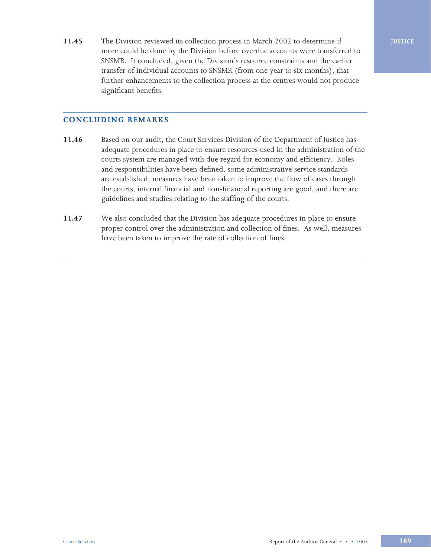**11.45** The Division reviewed its collection process in March 2002 to determine if more could be done by the Division before overdue accounts were transferred to SNSMR. It concluded, given the Division's resource constraints and the earlier transfer of individual accounts to SNSMR (from one year to six months), that further enhancements to the collection process at the centres would not produce significant benefits.

# **CONCLUDING REMARKS**

- **11.46** Based on our audit, the Court Services Division of the Department of Justice has adequate procedures in place to ensure resources used in the administration of the courts system are managed with due regard for economy and efficiency. Roles and responsibilities have been defined, some administrative service standards are established, measures have been taken to improve the flow of cases through the courts, internal financial and non-financial reporting are good, and there are guidelines and studies relating to the staffing of the courts.
- **11.47** We also concluded that the Division has adequate procedures in place to ensure proper control over the administration and collection of fines. As well, measures have been taken to improve the rate of collection of fines.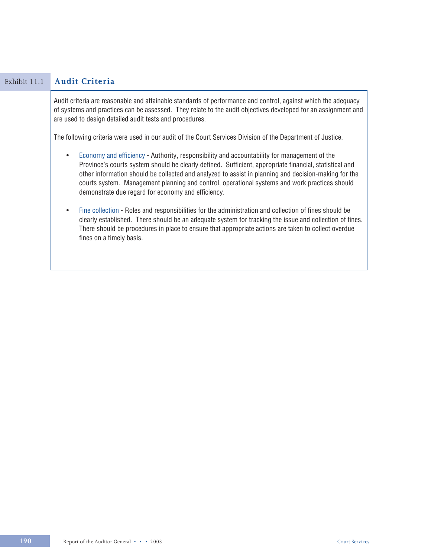| Exhibit 11.1 | <b>Audit Criteria</b>                                                                                                                                                                                                                                                                                                                                                                                                                                                             |  |  |  |
|--------------|-----------------------------------------------------------------------------------------------------------------------------------------------------------------------------------------------------------------------------------------------------------------------------------------------------------------------------------------------------------------------------------------------------------------------------------------------------------------------------------|--|--|--|
|              | Audit criteria are reasonable and attainable standards of performance and control, against which the adequacy<br>of systems and practices can be assessed. They relate to the audit objectives developed for an assignment and<br>are used to design detailed audit tests and procedures.                                                                                                                                                                                         |  |  |  |
|              | The following criteria were used in our audit of the Court Services Division of the Department of Justice.                                                                                                                                                                                                                                                                                                                                                                        |  |  |  |
|              | Economy and efficiency - Authority, responsibility and accountability for management of the<br>$\bullet$<br>Province's courts system should be clearly defined. Sufficient, appropriate financial, statistical and<br>other information should be collected and analyzed to assist in planning and decision-making for the<br>courts system. Management planning and control, operational systems and work practices should<br>demonstrate due regard for economy and efficiency. |  |  |  |
|              | Fine collection - Roles and responsibilities for the administration and collection of fines should be<br>$\bullet$<br>clearly established. There should be an adequate system for tracking the issue and collection of fines.<br>There should be procedures in place to ensure that appropriate actions are taken to collect overdue<br>fines on a timely basis.                                                                                                                  |  |  |  |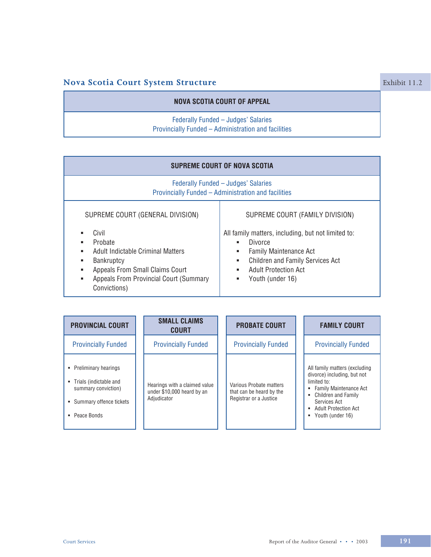# **Nova Scotia Court System Structure Exhibit 11.2** Exhibit 11.2

# **NOVA SCOTIA COURT OF APPEAL**

# Federally Funded – Judges' Salaries Provincially Funded – Administration and facilities

| <b>SUPREME COURT OF NOVA SCOTIA</b>                                                                                                                                                              |                                                                                                                                                                                                                              |  |  |  |  |
|--------------------------------------------------------------------------------------------------------------------------------------------------------------------------------------------------|------------------------------------------------------------------------------------------------------------------------------------------------------------------------------------------------------------------------------|--|--|--|--|
| Federally Funded - Judges' Salaries<br>Provincially Funded - Administration and facilities                                                                                                       |                                                                                                                                                                                                                              |  |  |  |  |
| SUPREME COURT (GENERAL DIVISION)                                                                                                                                                                 | SUPREME COURT (FAMILY DIVISION)                                                                                                                                                                                              |  |  |  |  |
| Civil<br>Probate<br>٠<br>Adult Indictable Criminal Matters<br>٠<br>Bankruptcy<br>ш<br>Appeals From Small Claims Court<br>٠<br><b>Appeals From Provincial Court (Summary</b><br>٠<br>Convictions) | All family matters, including, but not limited to:<br><b>Divorce</b><br>٠<br><b>Family Maintenance Act</b><br>٠<br><b>Children and Family Services Act</b><br>٠<br><b>Adult Protection Act</b><br>٠<br>Youth (under 16)<br>٠ |  |  |  |  |

| <b>PROVINCIAL COURT</b>                                                                                             | <b>SMALL CLAIMS</b><br><b>COURT</b>                                        | <b>PROBATE COURT</b>                                                          | <b>FAMILY COURT</b>                                                                                                                                                                                                |
|---------------------------------------------------------------------------------------------------------------------|----------------------------------------------------------------------------|-------------------------------------------------------------------------------|--------------------------------------------------------------------------------------------------------------------------------------------------------------------------------------------------------------------|
| <b>Provincially Funded</b>                                                                                          | <b>Provincially Funded</b>                                                 | <b>Provincially Funded</b>                                                    | <b>Provincially Funded</b>                                                                                                                                                                                         |
| • Preliminary hearings<br>Trials (indictable and<br>summary conviction)<br>• Summary offence tickets<br>Peace Bonds | Hearings with a claimed value<br>under \$10,000 heard by an<br>Adjudicator | Various Probate matters<br>that can be heard by the<br>Registrar or a Justice | All family matters (excluding<br>divorce) including, but not<br>limited to:<br><b>Family Maintenance Act</b><br>٠<br><b>Children and Family</b><br>Services Act<br>• Adult Protection Act<br>Youth (under 16)<br>٠ |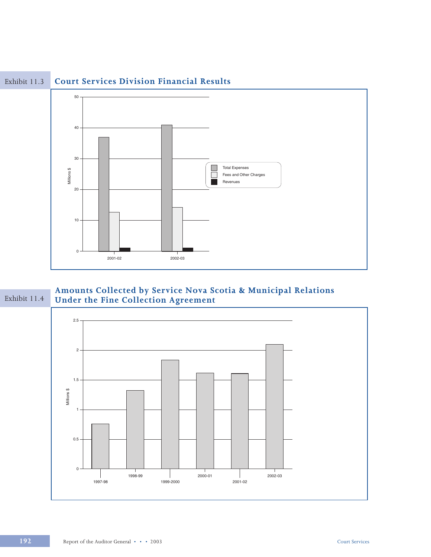

#### **Court Services Division Financial Results** Exhibit 11.3

Amounts Collected by Service Nova Scotia & Municipal Relations<br>Under the Fine Collection Agreement Exhibit 11.4

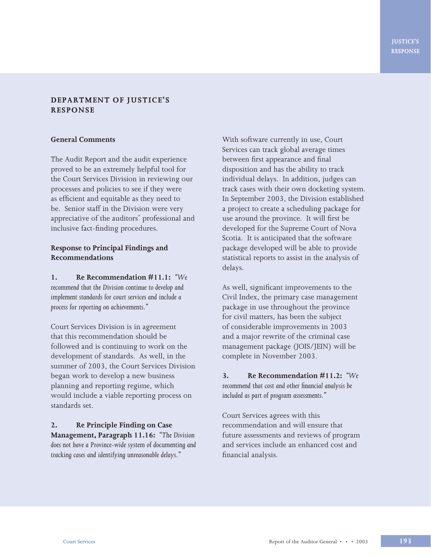# **DEPARTMENT OF JUSTICE'S RESPONSE**

### **General Comments**

The Audit Report and the audit experience proved to be an extremely helpful tool for the Court Services Division in reviewing our processes and policies to see if they were as efficient and equitable as they need to be. Senior staff in the Division were very appreciative of the auditors' professional and inclusive fact-finding procedures.

# **Response to Principal Findings and Recommendations**

**1. Re Recommendation #11.1:** *"We recommend that the Division continue to develop and implement standards for court services and include a process for reporting on achievements."*

Court Services Division is in agreement that this recommendation should be followed and is continuing to work on the development of standards. As well, in the summer of 2003, the Court Services Division began work to develop a new business planning and reporting regime, which would include a viable reporting process on standards set.

**2. Re Principle Finding on Case Management, Paragraph 11.16:** *"The Division does not have a Province-wide system of documenting and tracking cases and identifying unreasonable delays."*

With software currently in use, Court Services can track global average times between first appearance and final disposition and has the ability to track individual delays. In addition, judges can track cases with their own docketing system. In September 2003, the Division established a project to create a scheduling package for use around the province. It will first be developed for the Supreme Court of Nova Scotia. It is anticipated that the software package developed will be able to provide statistical reports to assist in the analysis of delays.

As well, significant improvements to the Civil Index, the primary case management package in use throughout the province for civil matters, has been the subject of considerable improvements in 2003 and a major rewrite of the criminal case management package (JOIS/JEIN) will be complete in November 2003.

**3. Re Recommendation #11.2:** *"We recommend that cost and other financial analysis be included as part of program assessments."*

Court Services agrees with this recommendation and will ensure that future assessments and reviews of program and services include an enhanced cost and financial analysis.